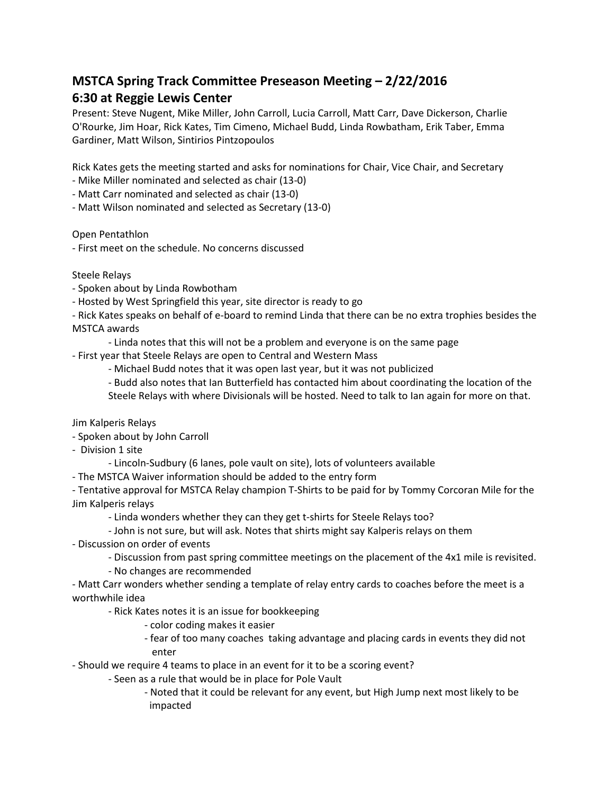## **MSTCA Spring Track Committee Preseason Meeting – 2/22/2016 6:30 at Reggie Lewis Center**

Present: Steve Nugent, Mike Miller, John Carroll, Lucia Carroll, Matt Carr, Dave Dickerson, Charlie O'Rourke, Jim Hoar, Rick Kates, Tim Cimeno, Michael Budd, Linda Rowbatham, Erik Taber, Emma Gardiner, Matt Wilson, Sintirios Pintzopoulos

Rick Kates gets the meeting started and asks for nominations for Chair, Vice Chair, and Secretary

- Mike Miller nominated and selected as chair (13-0)
- Matt Carr nominated and selected as chair (13-0)
- Matt Wilson nominated and selected as Secretary (13-0)

Open Pentathlon

- First meet on the schedule. No concerns discussed

Steele Relays

- Spoken about by Linda Rowbotham
- Hosted by West Springfield this year, site director is ready to go
- Rick Kates speaks on behalf of e-board to remind Linda that there can be no extra trophies besides the MSTCA awards
	- Linda notes that this will not be a problem and everyone is on the same page
- First year that Steele Relays are open to Central and Western Mass
	- Michael Budd notes that it was open last year, but it was not publicized
	- Budd also notes that Ian Butterfield has contacted him about coordinating the location of the
	- Steele Relays with where Divisionals will be hosted. Need to talk to Ian again for more on that.

Jim Kalperis Relays

- Spoken about by John Carroll
- Division 1 site
	- Lincoln-Sudbury (6 lanes, pole vault on site), lots of volunteers available
- The MSTCA Waiver information should be added to the entry form

- Tentative approval for MSTCA Relay champion T-Shirts to be paid for by Tommy Corcoran Mile for the Jim Kalperis relays

- Linda wonders whether they can they get t-shirts for Steele Relays too?

## - John is not sure, but will ask. Notes that shirts might say Kalperis relays on them

- Discussion on order of events

- Discussion from past spring committee meetings on the placement of the 4x1 mile is revisited.
- No changes are recommended

- Matt Carr wonders whether sending a template of relay entry cards to coaches before the meet is a worthwhile idea

- Rick Kates notes it is an issue for bookkeeping

- color coding makes it easier
- fear of too many coaches taking advantage and placing cards in events they did not enter
- Should we require 4 teams to place in an event for it to be a scoring event?
	- Seen as a rule that would be in place for Pole Vault
		- Noted that it could be relevant for any event, but High Jump next most likely to be impacted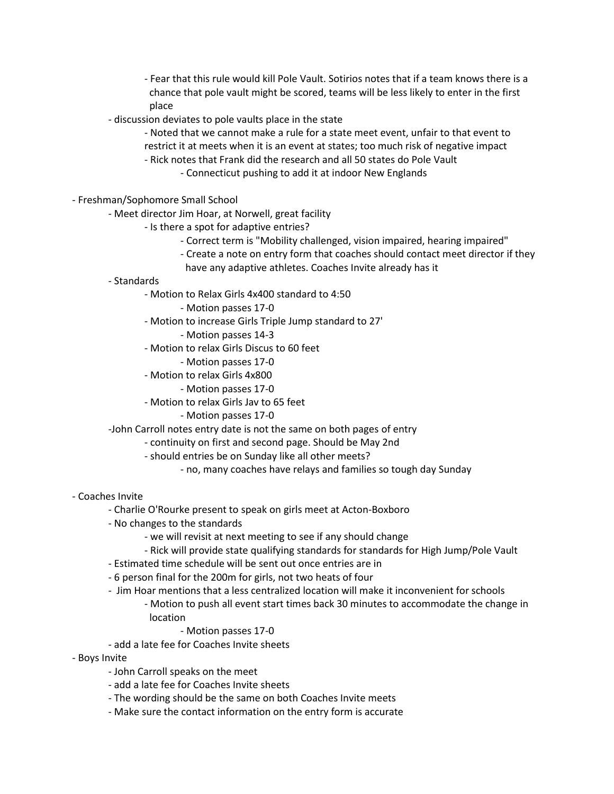- Fear that this rule would kill Pole Vault. Sotirios notes that if a team knows there is a chance that pole vault might be scored, teams will be less likely to enter in the first place

- discussion deviates to pole vaults place in the state
	- Noted that we cannot make a rule for a state meet event, unfair to that event to
	- restrict it at meets when it is an event at states; too much risk of negative impact
	- Rick notes that Frank did the research and all 50 states do Pole Vault
		- Connecticut pushing to add it at indoor New Englands
- Freshman/Sophomore Small School
	- Meet director Jim Hoar, at Norwell, great facility
		- Is there a spot for adaptive entries?
			- Correct term is "Mobility challenged, vision impaired, hearing impaired"
			- Create a note on entry form that coaches should contact meet director if they
			- have any adaptive athletes. Coaches Invite already has it
	- Standards
		- Motion to Relax Girls 4x400 standard to 4:50
			- Motion passes 17-0
		- Motion to increase Girls Triple Jump standard to 27'
			- Motion passes 14-3
		- Motion to relax Girls Discus to 60 feet
			- Motion passes 17-0
		- Motion to relax Girls 4x800
			- Motion passes 17-0
		- Motion to relax Girls Jav to 65 feet
			- Motion passes 17-0
	- -John Carroll notes entry date is not the same on both pages of entry
		- continuity on first and second page. Should be May 2nd
			- should entries be on Sunday like all other meets?
				- no, many coaches have relays and families so tough day Sunday
- Coaches Invite
	- Charlie O'Rourke present to speak on girls meet at Acton-Boxboro
	- No changes to the standards
		- we will revisit at next meeting to see if any should change
		- Rick will provide state qualifying standards for standards for High Jump/Pole Vault
	- Estimated time schedule will be sent out once entries are in
	- 6 person final for the 200m for girls, not two heats of four
	- Jim Hoar mentions that a less centralized location will make it inconvenient for schools
		- Motion to push all event start times back 30 minutes to accommodate the change in location
			- Motion passes 17-0
	- add a late fee for Coaches Invite sheets
- Boys Invite
	- John Carroll speaks on the meet
	- add a late fee for Coaches Invite sheets
	- The wording should be the same on both Coaches Invite meets
	- Make sure the contact information on the entry form is accurate